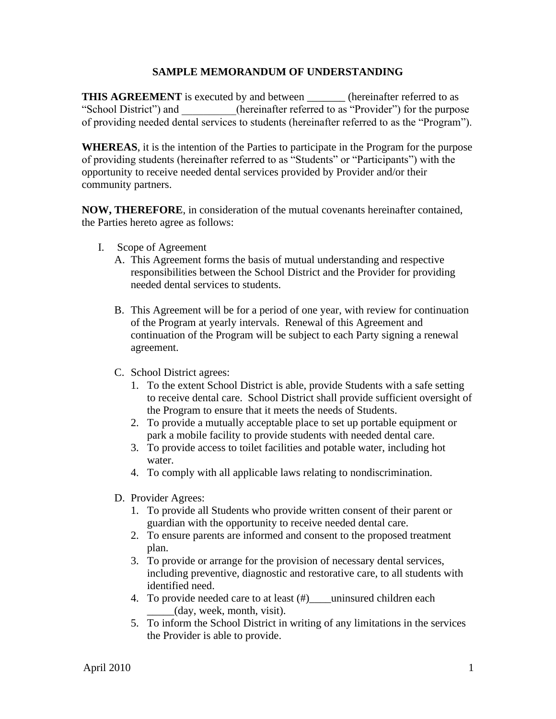## **SAMPLE MEMORANDUM OF UNDERSTANDING**

**THIS AGREEMENT** is executed by and between \_\_\_\_\_\_\_\_ (hereinafter referred to as "School District") and (hereinafter referred to as "Provider") for the purpose of providing needed dental services to students (hereinafter referred to as the "Program").

**WHEREAS**, it is the intention of the Parties to participate in the Program for the purpose of providing students (hereinafter referred to as "Students" or "Participants") with the opportunity to receive needed dental services provided by Provider and/or their community partners.

**NOW, THEREFORE**, in consideration of the mutual covenants hereinafter contained, the Parties hereto agree as follows:

- I. Scope of Agreement
	- A. This Agreement forms the basis of mutual understanding and respective responsibilities between the School District and the Provider for providing needed dental services to students.
	- B. This Agreement will be for a period of one year, with review for continuation of the Program at yearly intervals. Renewal of this Agreement and continuation of the Program will be subject to each Party signing a renewal agreement.
	- C. School District agrees:
		- 1. To the extent School District is able, provide Students with a safe setting to receive dental care. School District shall provide sufficient oversight of the Program to ensure that it meets the needs of Students.
		- 2. To provide a mutually acceptable place to set up portable equipment or park a mobile facility to provide students with needed dental care.
		- 3. To provide access to toilet facilities and potable water, including hot water.
		- 4. To comply with all applicable laws relating to nondiscrimination.
	- D. Provider Agrees:
		- 1. To provide all Students who provide written consent of their parent or guardian with the opportunity to receive needed dental care.
		- 2. To ensure parents are informed and consent to the proposed treatment plan.
		- 3. To provide or arrange for the provision of necessary dental services, including preventive, diagnostic and restorative care, to all students with identified need.
		- 4. To provide needed care to at least (#)\_\_\_\_uninsured children each \_\_\_\_\_(day, week, month, visit).
		- 5. To inform the School District in writing of any limitations in the services the Provider is able to provide.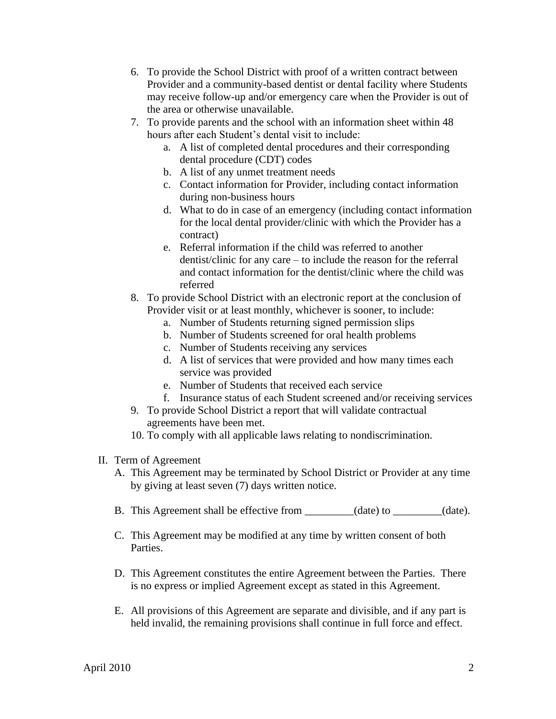- 6. To provide the School District with proof of a written contract between Provider and a community-based dentist or dental facility where Students may receive follow-up and/or emergency care when the Provider is out of the area or otherwise unavailable.
- 7. To provide parents and the school with an information sheet within 48 hours after each Student's dental visit to include:
	- a. A list of completed dental procedures and their corresponding dental procedure (CDT) codes
	- b. A list of any unmet treatment needs
	- c. Contact information for Provider, including contact information during non-business hours
	- d. What to do in case of an emergency (including contact information for the local dental provider/clinic with which the Provider has a contract)
	- e. Referral information if the child was referred to another dentist/clinic for any care – to include the reason for the referral and contact information for the dentist/clinic where the child was referred
- 8. To provide School District with an electronic report at the conclusion of Provider visit or at least monthly, whichever is sooner, to include:
	- a. Number of Students returning signed permission slips
	- b. Number of Students screened for oral health problems
	- c. Number of Students receiving any services
	- d. A list of services that were provided and how many times each service was provided
	- e. Number of Students that received each service
	- f. Insurance status of each Student screened and/or receiving services
- 9. To provide School District a report that will validate contractual agreements have been met.
- 10. To comply with all applicable laws relating to nondiscrimination.
- II. Term of Agreement
	- A. This Agreement may be terminated by School District or Provider at any time by giving at least seven (7) days written notice.
	- B. This Agreement shall be effective from \_\_\_\_\_\_\_\_(date) to \_\_\_\_\_\_\_(date).
	- C. This Agreement may be modified at any time by written consent of both Parties.
	- D. This Agreement constitutes the entire Agreement between the Parties. There is no express or implied Agreement except as stated in this Agreement.
	- E. All provisions of this Agreement are separate and divisible, and if any part is held invalid, the remaining provisions shall continue in full force and effect.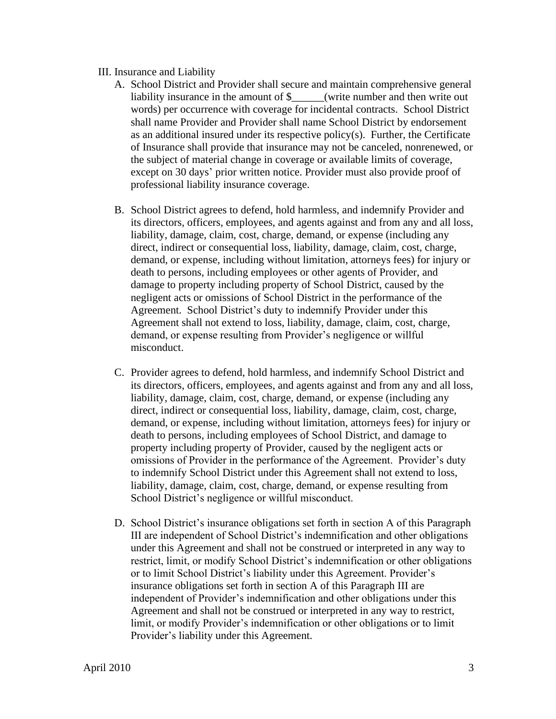## III. Insurance and Liability

- A. School District and Provider shall secure and maintain comprehensive general liability insurance in the amount of  $\frac{1}{2}$  (write number and then write out words) per occurrence with coverage for incidental contracts. School District shall name Provider and Provider shall name School District by endorsement as an additional insured under its respective policy(s). Further, the Certificate of Insurance shall provide that insurance may not be canceled, nonrenewed, or the subject of material change in coverage or available limits of coverage, except on 30 days' prior written notice. Provider must also provide proof of professional liability insurance coverage.
- B. School District agrees to defend, hold harmless, and indemnify Provider and its directors, officers, employees, and agents against and from any and all loss, liability, damage, claim, cost, charge, demand, or expense (including any direct, indirect or consequential loss, liability, damage, claim, cost, charge, demand, or expense, including without limitation, attorneys fees) for injury or death to persons, including employees or other agents of Provider, and damage to property including property of School District, caused by the negligent acts or omissions of School District in the performance of the Agreement. School District's duty to indemnify Provider under this Agreement shall not extend to loss, liability, damage, claim, cost, charge, demand, or expense resulting from Provider's negligence or willful misconduct.
- C. Provider agrees to defend, hold harmless, and indemnify School District and its directors, officers, employees, and agents against and from any and all loss, liability, damage, claim, cost, charge, demand, or expense (including any direct, indirect or consequential loss, liability, damage, claim, cost, charge, demand, or expense, including without limitation, attorneys fees) for injury or death to persons, including employees of School District, and damage to property including property of Provider, caused by the negligent acts or omissions of Provider in the performance of the Agreement. Provider's duty to indemnify School District under this Agreement shall not extend to loss, liability, damage, claim, cost, charge, demand, or expense resulting from School District's negligence or willful misconduct.
- D. School District's insurance obligations set forth in section A of this Paragraph III are independent of School District's indemnification and other obligations under this Agreement and shall not be construed or interpreted in any way to restrict, limit, or modify School District's indemnification or other obligations or to limit School District's liability under this Agreement. Provider's insurance obligations set forth in section A of this Paragraph III are independent of Provider's indemnification and other obligations under this Agreement and shall not be construed or interpreted in any way to restrict, limit, or modify Provider's indemnification or other obligations or to limit Provider's liability under this Agreement.